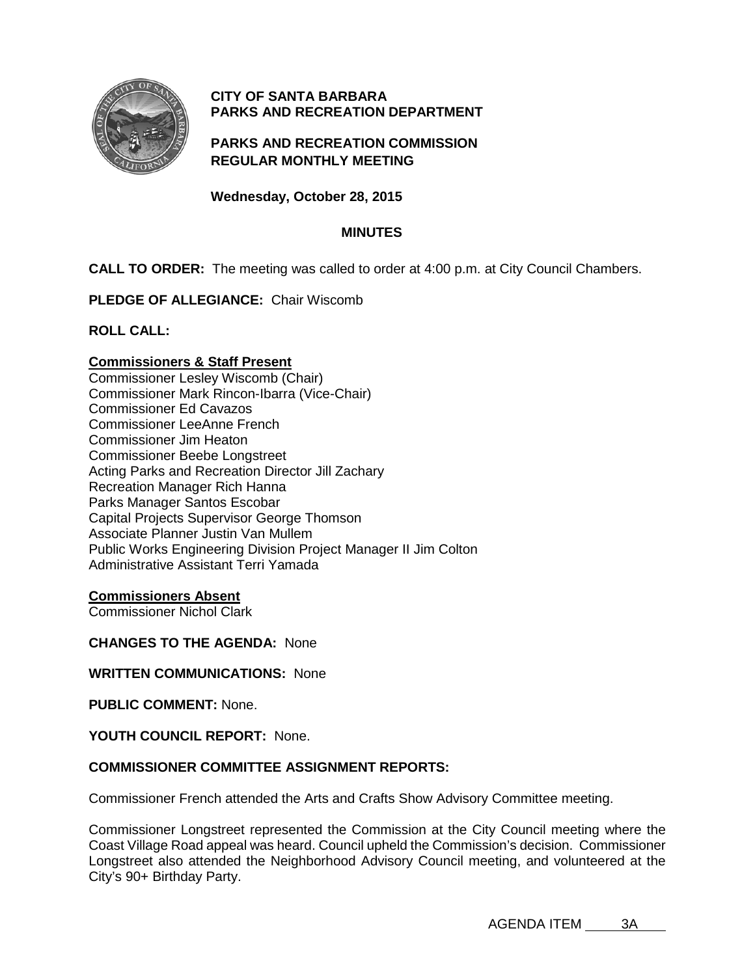

# **CITY OF SANTA BARBARA PARKS AND RECREATION DEPARTMENT**

## **PARKS AND RECREATION COMMISSION REGULAR MONTHLY MEETING**

## **Wednesday, October 28, 2015**

### **MINUTES**

**CALL TO ORDER:** The meeting was called to order at 4:00 p.m. at City Council Chambers.

**PLEDGE OF ALLEGIANCE:** Chair Wiscomb

**ROLL CALL:**

#### **Commissioners & Staff Present**

Commissioner Lesley Wiscomb (Chair) Commissioner Mark Rincon-Ibarra (Vice-Chair) Commissioner Ed Cavazos Commissioner LeeAnne French Commissioner Jim Heaton Commissioner Beebe Longstreet Acting Parks and Recreation Director Jill Zachary Recreation Manager Rich Hanna Parks Manager Santos Escobar Capital Projects Supervisor George Thomson Associate Planner Justin Van Mullem Public Works Engineering Division Project Manager II Jim Colton Administrative Assistant Terri Yamada

#### **Commissioners Absent**

Commissioner Nichol Clark

#### **CHANGES TO THE AGENDA:** None

**WRITTEN COMMUNICATIONS:** None

**PUBLIC COMMENT:** None.

#### **YOUTH COUNCIL REPORT:** None.

### **COMMISSIONER COMMITTEE ASSIGNMENT REPORTS:**

Commissioner French attended the Arts and Crafts Show Advisory Committee meeting.

Commissioner Longstreet represented the Commission at the City Council meeting where the Coast Village Road appeal was heard. Council upheld the Commission's decision. Commissioner Longstreet also attended the Neighborhood Advisory Council meeting, and volunteered at the City's 90+ Birthday Party.

AGENDA ITEM 3A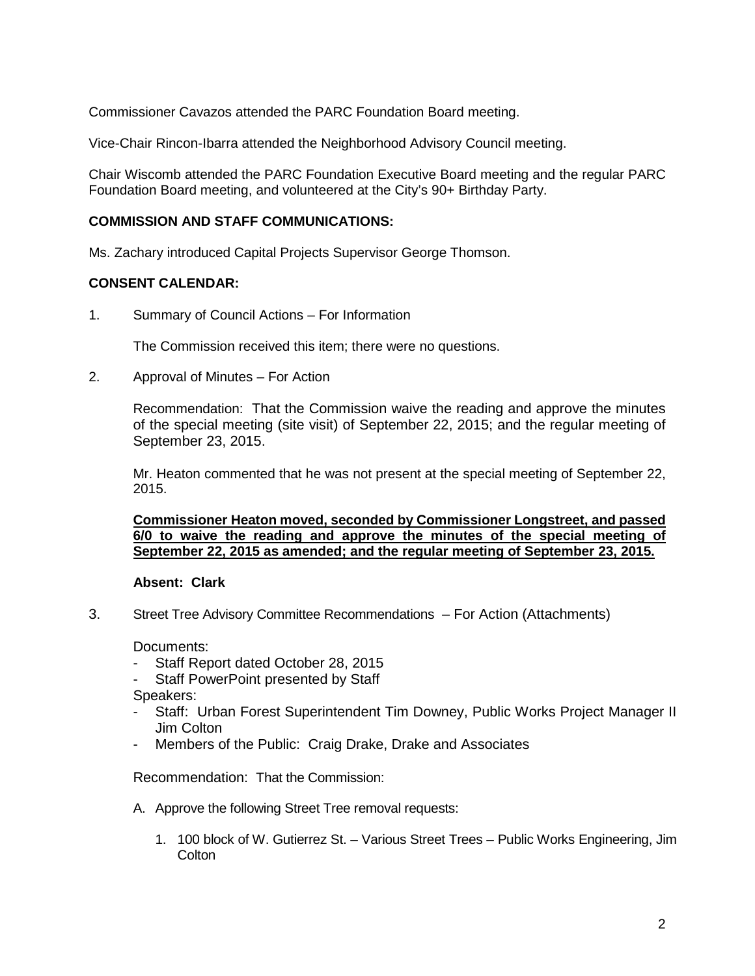Commissioner Cavazos attended the PARC Foundation Board meeting.

Vice-Chair Rincon-Ibarra attended the Neighborhood Advisory Council meeting.

Chair Wiscomb attended the PARC Foundation Executive Board meeting and the regular PARC Foundation Board meeting, and volunteered at the City's 90+ Birthday Party.

# **COMMISSION AND STAFF COMMUNICATIONS:**

Ms. Zachary introduced Capital Projects Supervisor George Thomson.

### **CONSENT CALENDAR:**

1. Summary of Council Actions – For Information

The Commission received this item; there were no questions.

2. Approval of Minutes – For Action

Recommendation: That the Commission waive the reading and approve the minutes of the special meeting (site visit) of September 22, 2015; and the regular meeting of September 23, 2015.

Mr. Heaton commented that he was not present at the special meeting of September 22, 2015.

**Commissioner Heaton moved, seconded by Commissioner Longstreet, and passed 6/0 to waive the reading and approve the minutes of the special meeting of September 22, 2015 as amended; and the regular meeting of September 23, 2015.**

### **Absent: Clark**

3. Street Tree Advisory Committee Recommendations – For Action (Attachments)

Documents:

- Staff Report dated October 28, 2015
- Staff PowerPoint presented by Staff

Speakers:

- Staff: Urban Forest Superintendent Tim Downey, Public Works Project Manager II Jim Colton
- Members of the Public: Craig Drake, Drake and Associates

Recommendation: That the Commission:

- A. Approve the following Street Tree removal requests:
	- 1. 100 block of W. Gutierrez St. Various Street Trees Public Works Engineering, Jim **Colton**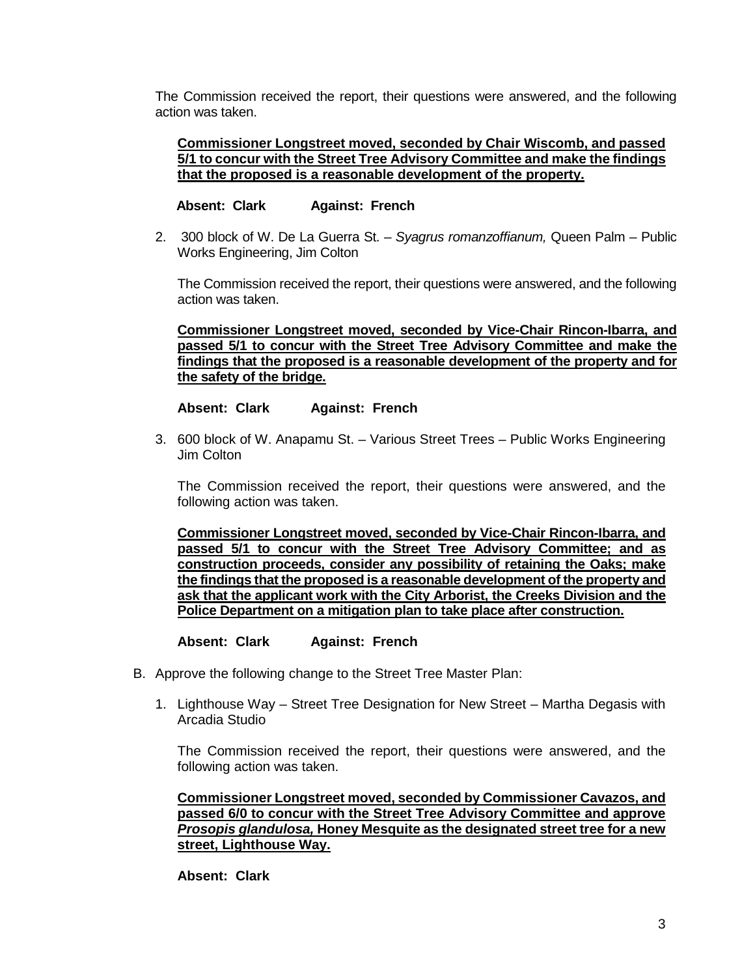The Commission received the report, their questions were answered, and the following action was taken.

#### **Commissioner Longstreet moved, seconded by Chair Wiscomb, and passed 5/1 to concur with the Street Tree Advisory Committee and make the findings that the proposed is a reasonable development of the property.**

### **Absent: Clark Against: French**

2. 300 block of W. De La Guerra St. – *Syagrus romanzoffianum,* Queen Palm – Public Works Engineering, Jim Colton

The Commission received the report, their questions were answered, and the following action was taken.

**Commissioner Longstreet moved, seconded by Vice-Chair Rincon-Ibarra, and passed 5/1 to concur with the Street Tree Advisory Committee and make the findings that the proposed is a reasonable development of the property and for the safety of the bridge.**

#### **Absent: Clark Against: French**

3. 600 block of W. Anapamu St. – Various Street Trees – Public Works Engineering Jim Colton

The Commission received the report, their questions were answered, and the following action was taken.

**Commissioner Longstreet moved, seconded by Vice-Chair Rincon-Ibarra, and passed 5/1 to concur with the Street Tree Advisory Committee; and as construction proceeds, consider any possibility of retaining the Oaks; make the findings that the proposed is a reasonable development of the property and ask that the applicant work with the City Arborist, the Creeks Division and the Police Department on a mitigation plan to take place after construction.**

**Absent: Clark Against: French**

- B. Approve the following change to the Street Tree Master Plan:
	- 1. Lighthouse Way Street Tree Designation for New Street Martha Degasis with Arcadia Studio

The Commission received the report, their questions were answered, and the following action was taken.

**Commissioner Longstreet moved, seconded by Commissioner Cavazos, and passed 6/0 to concur with the Street Tree Advisory Committee and approve**  *Prosopis glandulosa,* **Honey Mesquite as the designated street tree for a new street, Lighthouse Way.**

#### **Absent: Clark**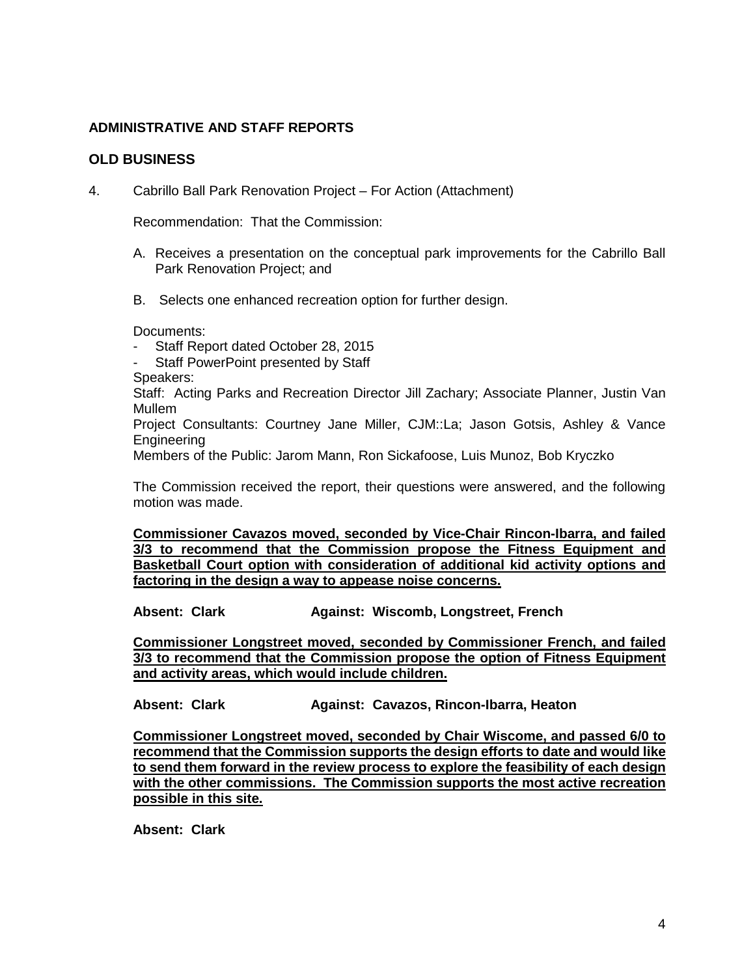# **ADMINISTRATIVE AND STAFF REPORTS**

## **OLD BUSINESS**

4. Cabrillo Ball Park Renovation Project – For Action (Attachment)

Recommendation: That the Commission:

- A. Receives a presentation on the conceptual park improvements for the Cabrillo Ball Park Renovation Project; and
- B. Selects one enhanced recreation option for further design.

Documents:

- Staff Report dated October 28, 2015
- Staff PowerPoint presented by Staff
- Speakers:

Staff: Acting Parks and Recreation Director Jill Zachary; Associate Planner, Justin Van Mullem

Project Consultants: Courtney Jane Miller, CJM::La; Jason Gotsis, Ashley & Vance Engineering

Members of the Public: Jarom Mann, Ron Sickafoose, Luis Munoz, Bob Kryczko

The Commission received the report, their questions were answered, and the following motion was made.

**Commissioner Cavazos moved, seconded by Vice-Chair Rincon-Ibarra, and failed 3/3 to recommend that the Commission propose the Fitness Equipment and Basketball Court option with consideration of additional kid activity options and factoring in the design a way to appease noise concerns.**

**Absent: Clark Against: Wiscomb, Longstreet, French**

**Commissioner Longstreet moved, seconded by Commissioner French, and failed 3/3 to recommend that the Commission propose the option of Fitness Equipment and activity areas, which would include children.**

**Absent: Clark Against: Cavazos, Rincon-Ibarra, Heaton**

**Commissioner Longstreet moved, seconded by Chair Wiscome, and passed 6/0 to recommend that the Commission supports the design efforts to date and would like to send them forward in the review process to explore the feasibility of each design with the other commissions. The Commission supports the most active recreation possible in this site.**

**Absent: Clark**